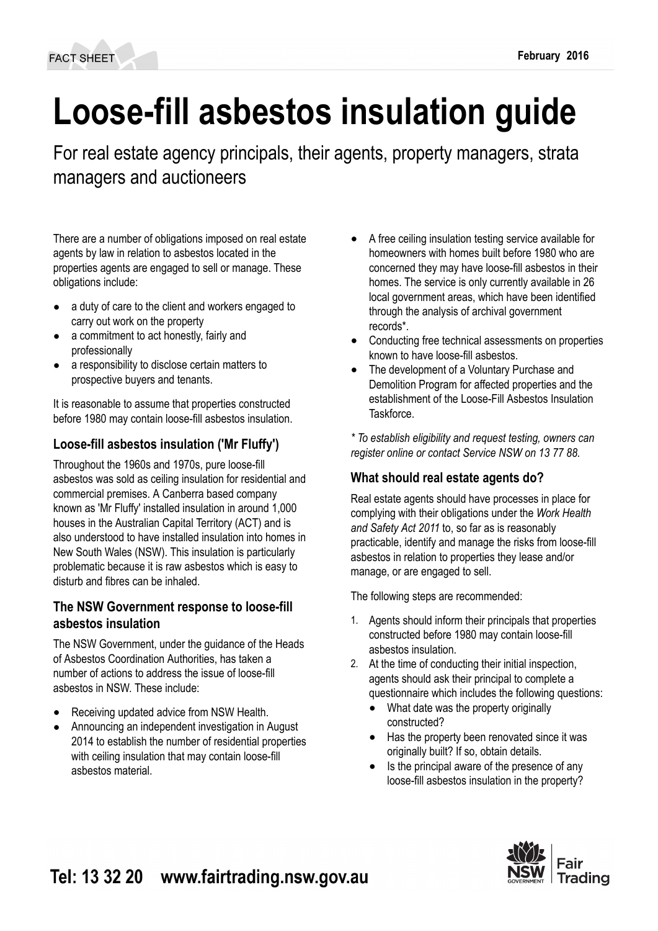# **Loose-fill asbestos insulation guide**

For real estate agency principals, their agents, property managers, strata managers and auctioneers

There are a number of obligations imposed on real estate agents by law in relation to asbestos located in the properties agents are engaged to sell or manage. These obligations include:

- a duty of care to the client and workers engaged to carry out work on the property
- a commitment to act honestly, fairly and professionally
- a responsibility to disclose certain matters to prospective buyers and tenants.

It is reasonable to assume that properties constructed before 1980 may contain loose-fill asbestos insulation.

# **Loose-fill asbestos insulation ('Mr Fluffy')**

Throughout the 1960s and 1970s, pure loose-fill asbestos was sold as ceiling insulation for residential and commercial premises. A Canberra based company known as 'Mr Fluffy' installed insulation in around 1,000 houses in the Australian Capital Territory (ACT) and is also understood to have installed insulation into homes in New South Wales (NSW). This insulation is particularly problematic because it is raw asbestos which is easy to disturb and fibres can be inhaled.

### **The NSW Government response to loose-fill asbestos insulation**

The NSW Government, under the guidance of the Heads of Asbestos Coordination Authorities, has taken a number of actions to address the issue of loose-fill asbestos in NSW. These include:

- Receiving updated advice from NSW Health.
- Announcing an independent investigation in August 2014 to establish the number of residential properties with ceiling insulation that may contain loose-fill asbestos material.
- A free ceiling insulation testing service available for homeowners with homes built before 1980 who are concerned they may have loose-fill asbestos in their homes. The service is only currently available in 26 local government areas, which have been identified through the analysis of archival government records\*.
- Conducting free technical assessments on properties known to have loose-fill asbestos.
- The development of a Voluntary Purchase and Demolition Program for affected properties and the establishment of the Loose-Fill Asbestos Insulation **Taskforce**

*\* To establish eligibility and request testing, owners can register online or contact Service NSW on 13 77 88.*

# **What should real estate agents do?**

Real estate agents should have processes in place for complying with their obligations under the *Work Health and Safety Act 2011* to, so far as is reasonably practicable, identify and manage the risks from loose-fill asbestos in relation to properties they lease and/or manage, or are engaged to sell.

The following steps are recommended:

- 1. Agents should inform their principals that properties constructed before 1980 may contain loose-fill asbestos insulation.
- 2. At the time of conducting their initial inspection, agents should ask their principal to complete a questionnaire which includes the following questions:
	- What date was the property originally constructed?
	- Has the property been renovated since it was originally built? If so, obtain details.
	- Is the principal aware of the presence of any loose-fill asbestos insulation in the property?

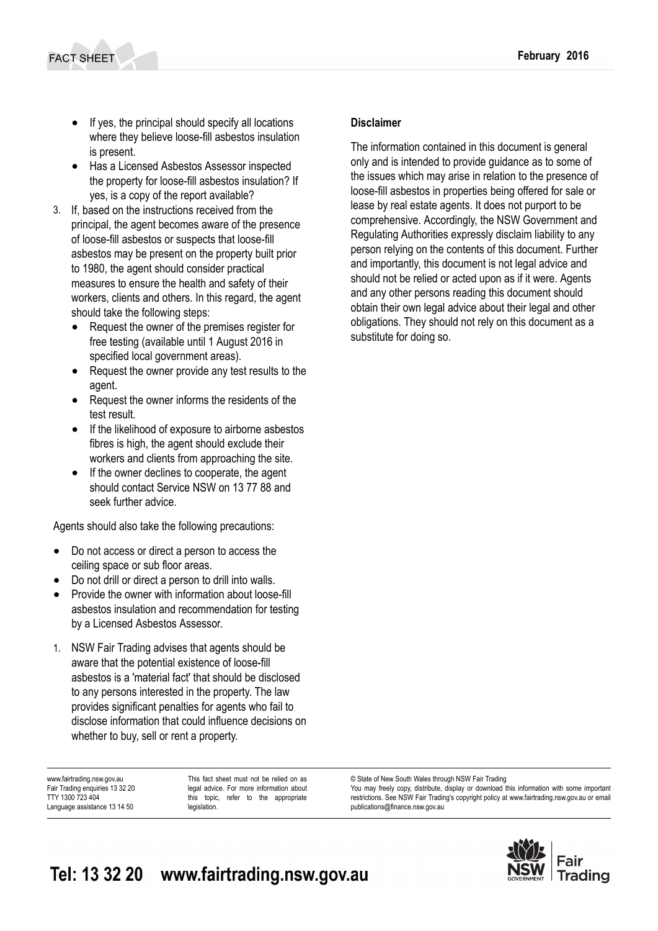- If yes, the principal should specify all locations where they believe loose-fill asbestos insulation is present.
- Has a Licensed Asbestos Assessor inspected the property for loose-fill asbestos insulation? If yes, is a copy of the report available?
- 3. If, based on the instructions received from the principal, the agent becomes aware of the presence of loose-fill asbestos or suspects that loose-fill asbestos may be present on the property built prior to 1980, the agent should consider practical measures to ensure the health and safety of their workers, clients and others. In this regard, the agent should take the following steps:
	- Request the owner of the premises register for free testing (available until 1 August 2016 in specified local government areas).
	- Request the owner provide any test results to the agent.
	- Request the owner informs the residents of the test result.
	- If the likelihood of exposure to airborne asbestos fibres is high, the agent should exclude their workers and clients from approaching the site.
	- If the owner declines to cooperate, the agent should contact Service NSW on 13 77 88 and seek further advice.

Agents should also take the following precautions:

- Do not access or direct a person to access the ceiling space or sub floor areas.
- Do not drill or direct a person to drill into walls.
- Provide the owner with information about loose-fill asbestos insulation and recommendation for testing by a Licensed Asbestos Assessor.
- 1. NSW Fair Trading advises that agents should be aware that the potential existence of loose-fill asbestos is a 'material fact' that should be disclosed to any persons interested in the property. The law provides significant penalties for agents who fail to disclose information that could influence decisions on whether to buy, sell or rent a property.

www.fairtrading.nsw.gov.au Fair Trading enquiries 13 32 20 TTY 1300 723 404 Language assistance 13 14 50

This fact sheet must not be relied on as legal advice. For more information about this topic, refer to the appropriate legislation.

#### **Disclaimer**

The information contained in this document is general only and is intended to provide guidance as to some of the issues which may arise in relation to the presence of loose-fill asbestos in properties being offered for sale or lease by real estate agents. It does not purport to be comprehensive. Accordingly, the NSW Government and Regulating Authorities expressly disclaim liability to any person relying on the contents of this document. Further and importantly, this document is not legal advice and should not be relied or acted upon as if it were. Agents and any other persons reading this document should obtain their own legal advice about their legal and other obligations. They should not rely on this document as a substitute for doing so.

© State of New South Wales through NSW Fair Trading

You may freely copy, distribute, display or download this information with some important restrictions. See NSW Fair Trading's [copyright policy](http://www.fairtrading.nsw.gov.au/Copyright.html) at www.fairtrading.nsw.gov.au or email [publications@finance.nsw.gov.au](mailto:publications@finance.nsw.gov.au)

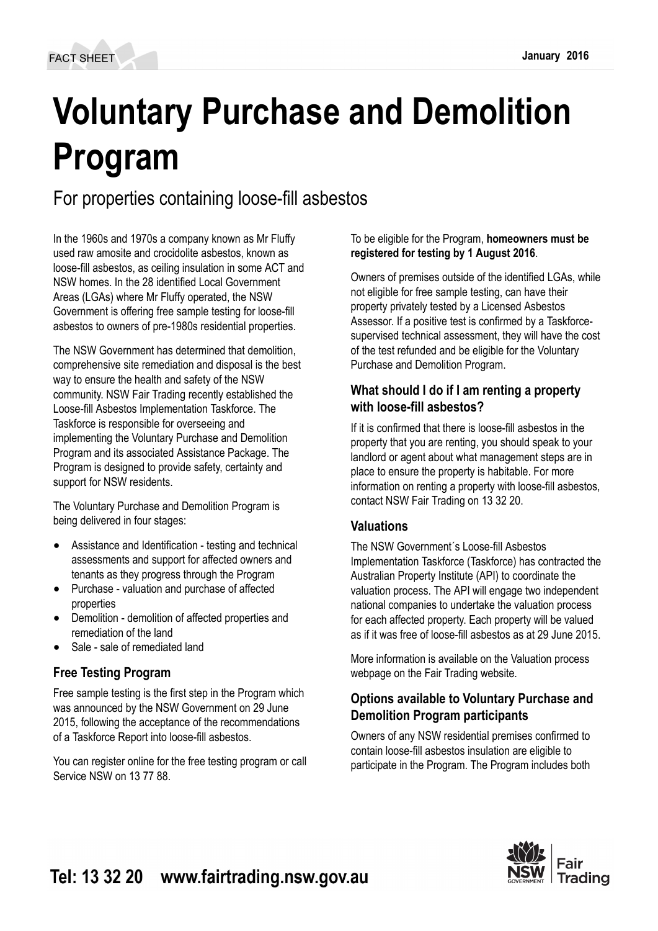# **Voluntary Purchase and Demolition Program**

# For properties containing loose-fill asbestos

In the 1960s and 1970s a company known as Mr Fluffy used raw amosite and crocidolite asbestos, known as loose-fill asbestos, as ceiling insulation in some ACT and NSW homes. In the 28 identified Local Government Areas (LGAs) where Mr Fluffy operated, the NSW Government is offering free sample testing for loose-fill asbestos to owners of pre-1980s residential properties.

The NSW Government has determined that demolition, comprehensive site remediation and disposal is the best way to ensure the health and safety of the NSW community. NSW Fair Trading recently established the Loose-fill Asbestos Implementation Taskforce. The Taskforce is responsible for overseeing and implementing the Voluntary Purchase and Demolition Program and its associated Assistance Package. The Program is designed to provide safety, certainty and support for NSW residents.

The Voluntary Purchase and Demolition Program is being delivered in four stages:

- Assistance and Identification testing and technical assessments and support for affected owners and tenants as they progress through the Program
- Purchase valuation and purchase of affected properties
- Demolition demolition of affected properties and remediation of the land
- Sale sale of remediated land

# **Free Testing Program**

Free sample testing is the first step in the Program which was announced by the NSW Government on 29 June 2015, following the acceptance of the recommendations of a Taskforce Report into loose-fill asbestos.

You can register online for the free testing program or call Service NSW on 13 77 88.

#### To be eligible for the Program, **homeowners must be registered for testing by 1 August 2016**.

Owners of premises outside of the identified LGAs, while not eligible for free sample testing, can have their property privately tested by a Licensed Asbestos Assessor. If a positive test is confirmed by a Taskforcesupervised technical assessment, they will have the cost of the test refunded and be eligible for the Voluntary Purchase and Demolition Program.

## **What should I do if I am renting a property with loose-fill asbestos?**

If it is confirmed that there is loose-fill asbestos in the property that you are renting, you should speak to your landlord or agent about what management steps are in place to ensure the property is habitable. For more information on renting a property with loose-fill asbestos, contact NSW Fair Trading on 13 32 20.

# **Valuations**

The NSW Government´s Loose-fill Asbestos Implementation Taskforce (Taskforce) has contracted the Australian Property Institute (API) to coordinate the valuation process. The API will engage two independent national companies to undertake the valuation process for each affected property. Each property will be valued as if it was free of loose-fill asbestos as at 29 June 2015.

More information is available on the Valuation process webpage on the Fair Trading website.

## **Options available to Voluntary Purchase and Demolition Program participants**

Owners of any NSW residential premises confirmed to contain loose-fill asbestos insulation are eligible to participate in the Program. The Program includes both